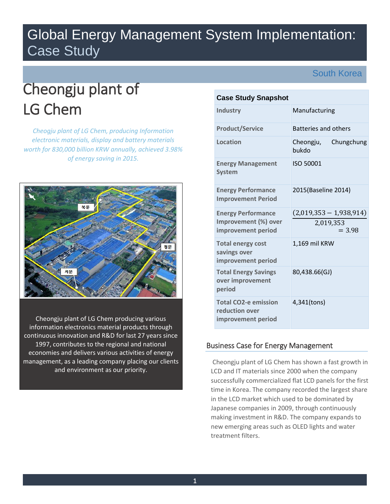# Global Energy Management System Implementation: Case Study

South Korea

# Cheongju plant of LG Chem

*Cheogju plant of LG Chem, producing Information electronic materials, display and battery materials worth for 830,000 billion KRW annually, achieved 3.98% of energy saving in 2015.*



Cheongju plant of LG Chem producing various information electronics material products through continuous innovation and R&D for last 27 years since 1997, contributes to the regional and national economies and delivers various activities of energy management, as a leading company placing our clients and environment as our priority.

# **Case Study Snapshot**

| <b>Industry</b>                                                     | Manufacturing                    |
|---------------------------------------------------------------------|----------------------------------|
| <b>Product/Service</b>                                              | <b>Batteries and others</b>      |
| Location                                                            | Cheongju,<br>Chungchung<br>bukdo |
| <b>Energy Management</b><br><b>System</b>                           | ISO 50001                        |
| <b>Energy Performance</b><br><b>Improvement Period</b>              | 2015(Baseline 2014)              |
| <b>Energy Performance</b>                                           | $(2,019,353 - 1,938,914)$        |
| Improvement (%) over<br>improvement period                          | 2,019,353<br>$= 3.98$            |
| <b>Total energy cost</b><br>savings over<br>improvement period      | 1,169 mil KRW                    |
| <b>Total Energy Savings</b><br>over improvement<br>period           | 80,438.66(GJ)                    |
| <b>Total CO2-e emission</b><br>reduction over<br>improvement period | 4,341(tons)                      |

# Business Case for Energy Management

Cheongju plant of LG Chem has shown a fast growth in LCD and IT materials since 2000 when the company successfully commercialized flat LCD panels for the first time in Korea. The company recorded the largest share in the LCD market which used to be dominated by Japanese companies in 2009, through continuously making investment in R&D. The company expands to new emerging areas such as OLED lights and water treatment filters.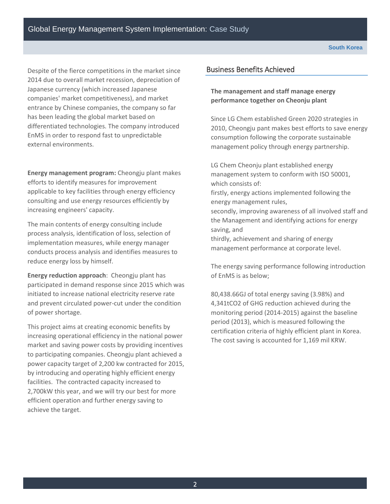Despite of the fierce competitions in the market since 2014 due to overall market recession, depreciation of Japanese currency (which increased Japanese companies' market competitiveness), and market entrance by Chinese companies, the company so far has been leading the global market based on differentiated technologies. The company introduced EnMS in order to respond fast to unpredictable external environments.

**Energy management program:** Cheongju plant makes efforts to identify measures for improvement applicable to key facilities through energy efficiency consulting and use energy resources efficiently by increasing engineers' capacity.

The main contents of energy consulting include process analysis, identification of loss, selection of implementation measures, while energy manager conducts process analysis and identifies measures to reduce energy loss by himself.

**Energy reduction approach**: Cheongju plant has participated in demand response since 2015 which was initiated to increase national electricity reserve rate and prevent circulated power-cut under the condition of power shortage.

This project aims at creating economic benefits by increasing operational efficiency in the national power market and saving power costs by providing incentives to participating companies. Cheongju plant achieved a power capacity target of 2,200 kw contracted for 2015, by introducing and operating highly efficient energy facilities. The contracted capacity increased to 2,700kW this year, and we will try our best for more efficient operation and further energy saving to achieve the target.

# Business Benefits Achieved

## **The management and staff manage energy performance together on Cheonju plant**

Since LG Chem established Green 2020 strategies in 2010, Cheongju pant makes best efforts to save energy consumption following the corporate sustainable management policy through energy partnership.

LG Chem Cheonju plant established energy management system to conform with ISO 50001, which consists of:

firstly, energy actions implemented following the energy management rules,

secondly, improving awareness of all involved staff and the Management and identifying actions for energy saving, and

thirdly, achievement and sharing of energy management performance at corporate level.

The energy saving performance following introduction of EnMS is as below;

80,438.66GJ of total energy saving (3.98%) and 4,341tCO2 of GHG reduction achieved during the monitoring period (2014-2015) against the baseline period (2013), which is measured following the certification criteria of highly efficient plant in Korea. The cost saving is accounted for 1,169 mil KRW.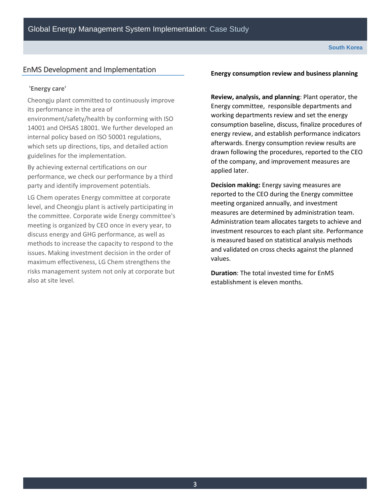#### **South Korea**

# EnMS Development and Implementation

#### **'Energy care'**

Cheongju plant committed to continuously improve its performance in the area of

environment/safety/health by conforming with ISO 14001 and OHSAS 18001. We further developed an internal policy based on ISO 50001 regulations, which sets up directions, tips, and detailed action guidelines for the implementation.

By achieving external certifications on our performance, we check our performance by a third party and identify improvement potentials.

LG Chem operates Energy committee at corporate level, and Cheongju plant is actively participating in the committee. Corporate wide Energy committee's meeting is organized by CEO once in every year, to discuss energy and GHG performance, as well as methods to increase the capacity to respond to the issues. Making investment decision in the order of maximum effectiveness, LG Chem strengthens the risks management system not only at corporate but also at site level.

#### **Energy consumption review and business planning**

**Review, analysis, and planning**: Plant operator, the Energy committee, responsible departments and working departments review and set the energy consumption baseline, discuss, finalize procedures of energy review, and establish performance indicators afterwards. Energy consumption review results are drawn following the procedures, reported to the CEO of the company, and improvement measures are applied later.

**Decision making:** Energy saving measures are reported to the CEO during the Energy committee meeting organized annually, and investment measures are determined by administration team. Administration team allocates targets to achieve and investment resources to each plant site. Performance is measured based on statistical analysis methods and validated on cross checks against the planned values.

**Duration**: The total invested time for EnMS establishment is eleven months.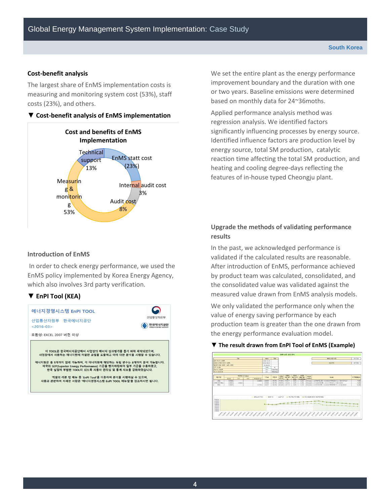#### **Cost-benefit analysis**

The largest share of EnMS implementation costs is measuring and monitoring system cost (53%), staff costs (23%), and others.

#### **▼ Cost-benefit analysis of EnMS implementation**



#### **Introduction of EnMS**

In order to check energy performance, we used the EnMS policy implemented by Korea Energy Agency, which also involves 3rd party verification.

# **▼ EnPI Tool (KEA)**



We set the entire plant as the energy performance improvement boundary and the duration with one or two years. Baseline emissions were determined based on monthly data for 24~36moths.

Applied performance analysis method was regression analysis. We identified factors significantly influencing processes by energy source. Identified influence factors are production level by energy source, total SM production, catalytic reaction time affecting the total SM production, and heating and cooling degree-days reflecting the features of in-house typed Cheongju plant.

# **Upgrade the methods of validating performance results**

In the past, we acknowledged performance is validated if the calculated results are reasonable. After introduction of EnMS, performance achieved by product team was calculated, consolidated, and the consolidated value was validated against the measured value drawn from EnMS analysis models.

We only validated the performance only when the value of energy saving performance by each production team is greater than the one drawn from the energy performance evaluation model.

#### **▼ The result drawn from EnPI Tool of EnMS (Example)**

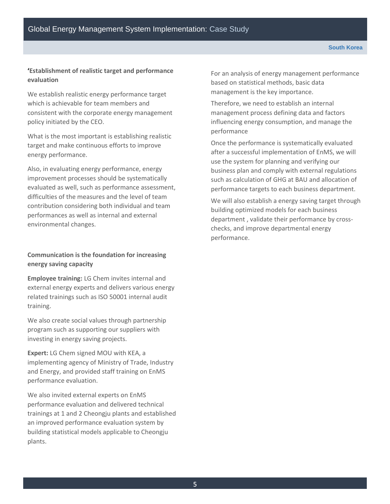## **'Establishment of realistic target and performance evaluation**

We establish realistic energy performance target which is achievable for team members and consistent with the corporate energy management policy initiated by the CEO.

What is the most important is establishing realistic target and make continuous efforts to improve energy performance.

Also, in evaluating energy performance, energy improvement processes should be systematically evaluated as well, such as performance assessment, difficulties of the measures and the level of team contribution considering both individual and team performances as well as internal and external environmental changes.

# **Communication is the foundation for increasing energy saving capacity**

**Employee training:** LG Chem invites internal and external energy experts and delivers various energy related trainings such as ISO 50001 internal audit training.

We also create social values through partnership program such as supporting our suppliers with investing in energy saving projects.

**Expert:** LG Chem signed MOU with KEA, a implementing agency of Ministry of Trade, Industry and Energy, and provided staff training on EnMS performance evaluation.

We also invited external experts on EnMS performance evaluation and delivered technical trainings at 1 and 2 Cheongju plants and established an improved performance evaluation system by building statistical models applicable to Cheongju plants.

For an analysis of energy management performance based on statistical methods, basic data management is the key importance.

Therefore, we need to establish an internal management process defining data and factors influencing energy consumption, and manage the performance

Once the performance is systematically evaluated after a successful implementation of EnMS, we will use the system for planning and verifying our business plan and comply with external regulations such as calculation of GHG at BAU and allocation of performance targets to each business department.

We will also establish a energy saving target through building optimized models for each business department , validate their performance by crosschecks, and improve departmental energy performance.